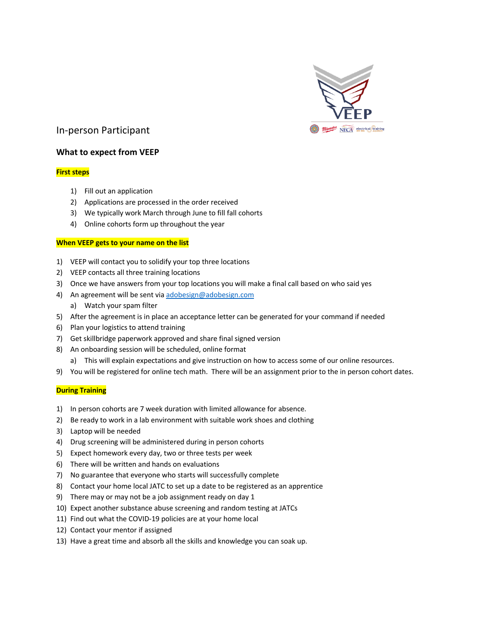

# In-person Participant

## **What to expect from VEEP**

## **First steps**

- 1) Fill out an application
- 2) Applications are processed in the order received
- 3) We typically work March through June to fill fall cohorts
- 4) Online cohorts form up throughout the year

### **When VEEP gets to your name on the list**

- 1) VEEP will contact you to solidify your top three locations
- 2) VEEP contacts all three training locations
- 3) Once we have answers from your top locations you will make a final call based on who said yes
- 4) An agreement will be sent via adobesign@adobesign.com
	- a) Watch your spam filter
- 5) After the agreement is in place an acceptance letter can be generated for your command if needed
- 6) Plan your logistics to attend training
- 7) Get skillbridge paperwork approved and share final signed version
- 8) An onboarding session will be scheduled, online format
	- a) This will explain expectations and give instruction on how to access some of our online resources.
- 9) You will be registered for online tech math. There will be an assignment prior to the in person cohort dates.

### **During Training**

- 1) In person cohorts are 7 week duration with limited allowance for absence.
- 2) Be ready to work in a lab environment with suitable work shoes and clothing
- 3) Laptop will be needed
- 4) Drug screening will be administered during in person cohorts
- 5) Expect homework every day, two or three tests per week
- 6) There will be written and hands on evaluations
- 7) No guarantee that everyone who starts will successfully complete
- 8) Contact your home local JATC to set up a date to be registered as an apprentice
- 9) There may or may not be a job assignment ready on day 1
- 10) Expect another substance abuse screening and random testing at JATCs
- 11) Find out what the COVID-19 policies are at your home local
- 12) Contact your mentor if assigned
- 13) Have a great time and absorb all the skills and knowledge you can soak up.